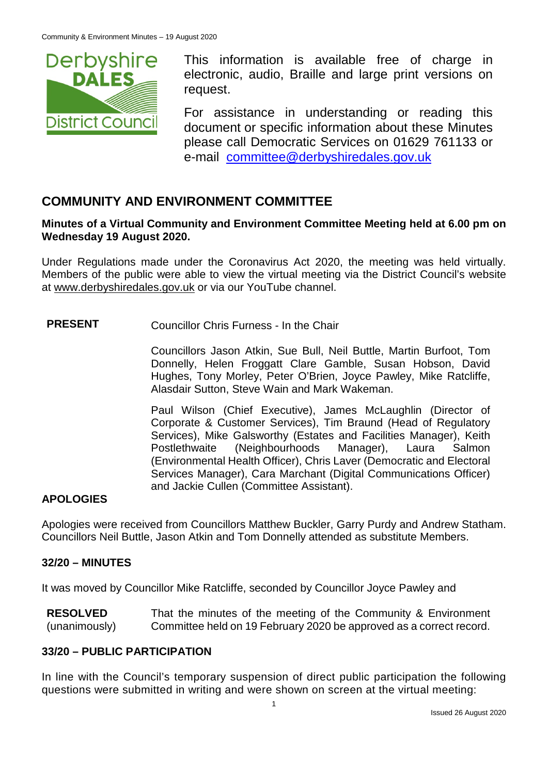

This information is available free of charge in electronic, audio, Braille and large print versions on request.

For assistance in understanding or reading this document or specific information about these Minutes please call Democratic Services on 01629 761133 or e-mail [committee@derbyshiredales.gov.uk](mailto:brian.evans@derbyshiredales.gov.uk)

# **COMMUNITY AND ENVIRONMENT COMMITTEE**

### **Minutes of a Virtual Community and Environment Committee Meeting held at 6.00 pm on Wednesday 19 August 2020.**

Under Regulations made under the Coronavirus Act 2020, the meeting was held virtually. Members of the public were able to view the virtual meeting via the District Council's website at [www.derbyshiredales.gov.uk](http://www.derbyshiredales.gov.uk/) or via our YouTube channel.

# **PRESENT** Councillor Chris Furness - In the Chair

Councillors Jason Atkin, Sue Bull, Neil Buttle, Martin Burfoot, Tom Donnelly, Helen Froggatt Clare Gamble, Susan Hobson, David Hughes, Tony Morley, Peter O'Brien, Joyce Pawley, Mike Ratcliffe, Alasdair Sutton, Steve Wain and Mark Wakeman.

Paul Wilson (Chief Executive), James McLaughlin (Director of Corporate & Customer Services), Tim Braund (Head of Regulatory Services), Mike Galsworthy (Estates and Facilities Manager), Keith Postlethwaite (Neighbourhoods Manager), Laura Salmon (Environmental Health Officer), Chris Laver (Democratic and Electoral Services Manager), Cara Marchant (Digital Communications Officer) and Jackie Cullen (Committee Assistant).

# **APOLOGIES**

Apologies were received from Councillors Matthew Buckler, Garry Purdy and Andrew Statham. Councillors Neil Buttle, Jason Atkin and Tom Donnelly attended as substitute Members.

# **32/20 – MINUTES**

It was moved by Councillor Mike Ratcliffe, seconded by Councillor Joyce Pawley and

**RESOLVED** (unanimously) That the minutes of the meeting of the Community & Environment Committee held on 19 February 2020 be approved as a correct record.

# **33/20 – PUBLIC PARTICIPATION**

In line with the Council's temporary suspension of direct public participation the following questions were submitted in writing and were shown on screen at the virtual meeting: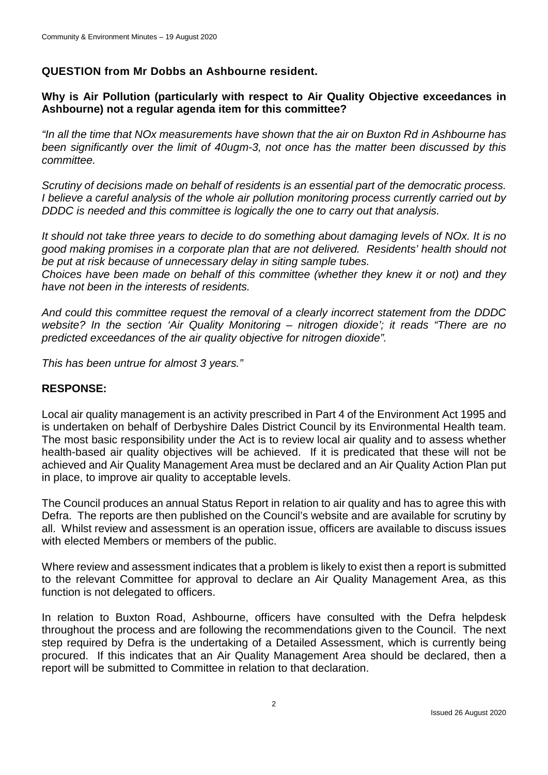### **QUESTION from Mr Dobbs an Ashbourne resident.**

### **Why is Air Pollution (particularly with respect to Air Quality Objective exceedances in Ashbourne) not a regular agenda item for this committee?**

*"In all the time that NOx measurements have shown that the air on Buxton Rd in Ashbourne has been significantly over the limit of 40ugm-3, not once has the matter been discussed by this committee.*

*Scrutiny of decisions made on behalf of residents is an essential part of the democratic process. I believe a careful analysis of the whole air pollution monitoring process currently carried out by DDDC is needed and this committee is logically the one to carry out that analysis.*

*It should not take three years to decide to do something about damaging levels of NOx. It is no good making promises in a corporate plan that are not delivered. Residents' health should not be put at risk because of unnecessary delay in siting sample tubes.*

*Choices have been made on behalf of this committee (whether they knew it or not) and they have not been in the interests of residents.*

*And could this committee request the removal of a clearly incorrect statement from the DDDC website? In the section 'Air Quality Monitoring – nitrogen dioxide'; it reads "There are no predicted exceedances of the air quality objective for nitrogen dioxide".*

*This has been untrue for almost 3 years."*

#### **RESPONSE:**

Local air quality management is an activity prescribed in Part 4 of the Environment Act 1995 and is undertaken on behalf of Derbyshire Dales District Council by its Environmental Health team. The most basic responsibility under the Act is to review local air quality and to assess whether health-based air quality objectives will be achieved. If it is predicated that these will not be achieved and Air Quality Management Area must be declared and an Air Quality Action Plan put in place, to improve air quality to acceptable levels.

The Council produces an annual Status Report in relation to air quality and has to agree this with Defra. The reports are then published on the Council's website and are available for scrutiny by all. Whilst review and assessment is an operation issue, officers are available to discuss issues with elected Members or members of the public.

Where review and assessment indicates that a problem is likely to exist then a report is submitted to the relevant Committee for approval to declare an Air Quality Management Area, as this function is not delegated to officers.

In relation to Buxton Road, Ashbourne, officers have consulted with the Defra helpdesk throughout the process and are following the recommendations given to the Council. The next step required by Defra is the undertaking of a Detailed Assessment, which is currently being procured. If this indicates that an Air Quality Management Area should be declared, then a report will be submitted to Committee in relation to that declaration.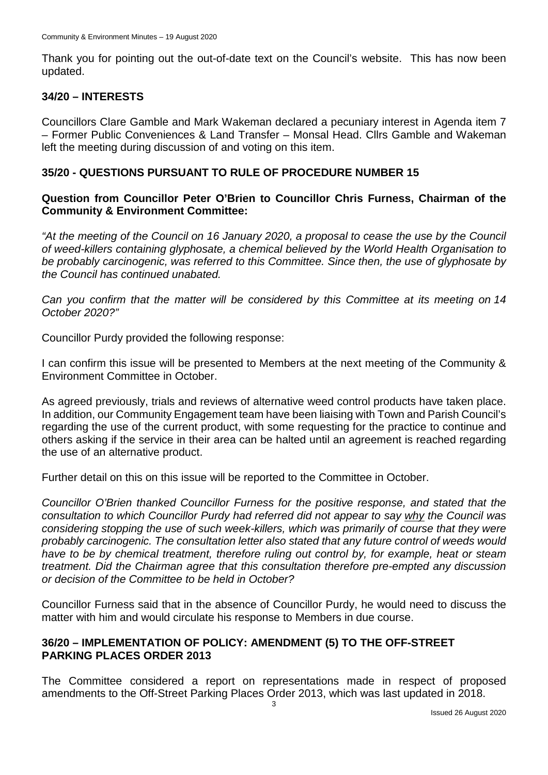Thank you for pointing out the out-of-date text on the Council's website. This has now been updated.

#### **34/20 – INTERESTS**

Councillors Clare Gamble and Mark Wakeman declared a pecuniary interest in Agenda item 7 – Former Public Conveniences & Land Transfer – Monsal Head. Cllrs Gamble and Wakeman left the meeting during discussion of and voting on this item.

### **35/20 - QUESTIONS PURSUANT TO RULE OF PROCEDURE NUMBER 15**

### **Question from Councillor Peter O'Brien to Councillor Chris Furness, Chairman of the Community & Environment Committee:**

*"At the meeting of the Council on 16 January 2020, a proposal to cease the use by the Council of weed-killers containing glyphosate, a chemical believed by the World Health Organisation to be probably carcinogenic, was referred to this Committee. Since then, the use of glyphosate by the Council has continued unabated.*

*Can you confirm that the matter will be considered by this Committee at its meeting on 14 October 2020?"*

Councillor Purdy provided the following response:

I can confirm this issue will be presented to Members at the next meeting of the Community & Environment Committee in October.

As agreed previously, trials and reviews of alternative weed control products have taken place. In addition, our Community Engagement team have been liaising with Town and Parish Council's regarding the use of the current product, with some requesting for the practice to continue and others asking if the service in their area can be halted until an agreement is reached regarding the use of an alternative product.

Further detail on this on this issue will be reported to the Committee in October.

*Councillor O'Brien thanked Councillor Furness for the positive response, and stated that the consultation to which Councillor Purdy had referred did not appear to say why the Council was considering stopping the use of such week-killers, which was primarily of course that they were probably carcinogenic. The consultation letter also stated that any future control of weeds would have to be by chemical treatment, therefore ruling out control by, for example, heat or steam treatment. Did the Chairman agree that this consultation therefore pre-empted any discussion or decision of the Committee to be held in October?*

Councillor Furness said that in the absence of Councillor Purdy, he would need to discuss the matter with him and would circulate his response to Members in due course.

#### **36/20 – IMPLEMENTATION OF POLICY: AMENDMENT (5) TO THE OFF-STREET PARKING PLACES ORDER 2013**

The Committee considered a report on representations made in respect of proposed amendments to the Off-Street Parking Places Order 2013, which was last updated in 2018.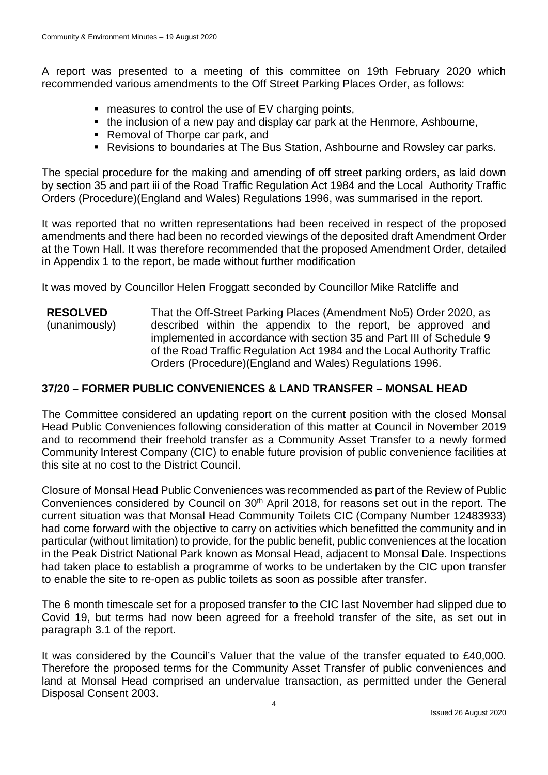A report was presented to a meeting of this committee on 19th February 2020 which recommended various amendments to the Off Street Parking Places Order, as follows:

- measures to control the use of EV charging points,
- the inclusion of a new pay and display car park at the Henmore, Ashbourne,
- Removal of Thorpe car park, and
- Revisions to boundaries at The Bus Station, Ashbourne and Rowsley car parks.

The special procedure for the making and amending of off street parking orders, as laid down by section 35 and part iii of the Road Traffic Regulation Act 1984 and the Local Authority Traffic Orders (Procedure)(England and Wales) Regulations 1996, was summarised in the report.

It was reported that no written representations had been received in respect of the proposed amendments and there had been no recorded viewings of the deposited draft Amendment Order at the Town Hall. It was therefore recommended that the proposed Amendment Order, detailed in Appendix 1 to the report, be made without further modification

It was moved by Councillor Helen Froggatt seconded by Councillor Mike Ratcliffe and

**RESOLVED** (unanimously) That the Off-Street Parking Places (Amendment No5) Order 2020, as described within the appendix to the report, be approved and implemented in accordance with section 35 and Part III of Schedule 9 of the Road Traffic Regulation Act 1984 and the Local Authority Traffic Orders (Procedure)(England and Wales) Regulations 1996.

# **37/20 – FORMER PUBLIC CONVENIENCES & LAND TRANSFER – MONSAL HEAD**

The Committee considered an updating report on the current position with the closed Monsal Head Public Conveniences following consideration of this matter at Council in November 2019 and to recommend their freehold transfer as a Community Asset Transfer to a newly formed Community Interest Company (CIC) to enable future provision of public convenience facilities at this site at no cost to the District Council.

Closure of Monsal Head Public Conveniences was recommended as part of the Review of Public Conveniences considered by Council on 30<sup>th</sup> April 2018, for reasons set out in the report. The current situation was that Monsal Head Community Toilets CIC (Company Number 12483933) had come forward with the objective to carry on activities which benefitted the community and in particular (without limitation) to provide, for the public benefit, public conveniences at the location in the Peak District National Park known as Monsal Head, adjacent to Monsal Dale. Inspections had taken place to establish a programme of works to be undertaken by the CIC upon transfer to enable the site to re-open as public toilets as soon as possible after transfer.

The 6 month timescale set for a proposed transfer to the CIC last November had slipped due to Covid 19, but terms had now been agreed for a freehold transfer of the site, as set out in paragraph 3.1 of the report.

It was considered by the Council's Valuer that the value of the transfer equated to £40,000. Therefore the proposed terms for the Community Asset Transfer of public conveniences and land at Monsal Head comprised an undervalue transaction, as permitted under the General Disposal Consent 2003.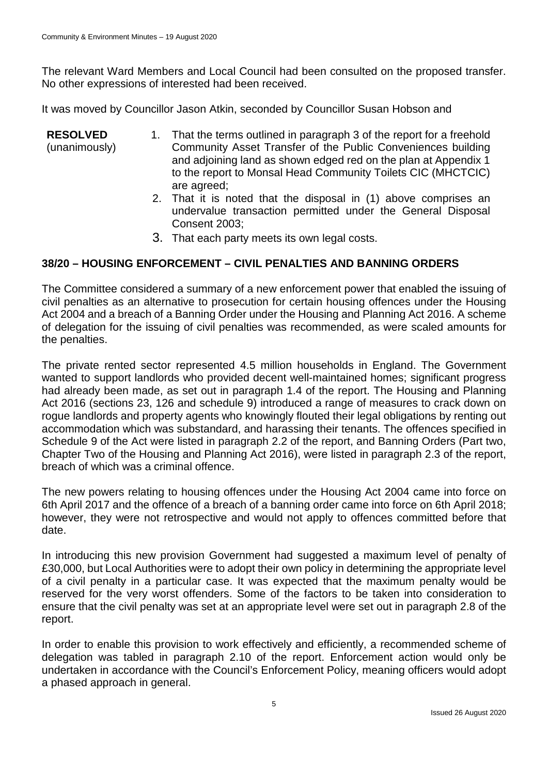The relevant Ward Members and Local Council had been consulted on the proposed transfer. No other expressions of interested had been received.

It was moved by Councillor Jason Atkin, seconded by Councillor Susan Hobson and

- **RESOLVED** (unanimously) 1. That the terms outlined in paragraph 3 of the report for a freehold Community Asset Transfer of the Public Conveniences building and adjoining land as shown edged red on the plan at Appendix 1 to the report to Monsal Head Community Toilets CIC (MHCTCIC) are agreed;
	- 2. That it is noted that the disposal in (1) above comprises an undervalue transaction permitted under the General Disposal Consent 2003;
	- 3. That each party meets its own legal costs.

# **38/20 – HOUSING ENFORCEMENT – CIVIL PENALTIES AND BANNING ORDERS**

The Committee considered a summary of a new enforcement power that enabled the issuing of civil penalties as an alternative to prosecution for certain housing offences under the Housing Act 2004 and a breach of a Banning Order under the Housing and Planning Act 2016. A scheme of delegation for the issuing of civil penalties was recommended, as were scaled amounts for the penalties.

The private rented sector represented 4.5 million households in England. The Government wanted to support landlords who provided decent well-maintained homes; significant progress had already been made, as set out in paragraph 1.4 of the report. The Housing and Planning Act 2016 (sections 23, 126 and schedule 9) introduced a range of measures to crack down on rogue landlords and property agents who knowingly flouted their legal obligations by renting out accommodation which was substandard, and harassing their tenants. The offences specified in Schedule 9 of the Act were listed in paragraph 2.2 of the report, and Banning Orders (Part two, Chapter Two of the Housing and Planning Act 2016), were listed in paragraph 2.3 of the report, breach of which was a criminal offence.

The new powers relating to housing offences under the Housing Act 2004 came into force on 6th April 2017 and the offence of a breach of a banning order came into force on 6th April 2018; however, they were not retrospective and would not apply to offences committed before that date.

In introducing this new provision Government had suggested a maximum level of penalty of £30,000, but Local Authorities were to adopt their own policy in determining the appropriate level of a civil penalty in a particular case. It was expected that the maximum penalty would be reserved for the very worst offenders. Some of the factors to be taken into consideration to ensure that the civil penalty was set at an appropriate level were set out in paragraph 2.8 of the report.

In order to enable this provision to work effectively and efficiently, a recommended scheme of delegation was tabled in paragraph 2.10 of the report. Enforcement action would only be undertaken in accordance with the Council's Enforcement Policy, meaning officers would adopt a phased approach in general.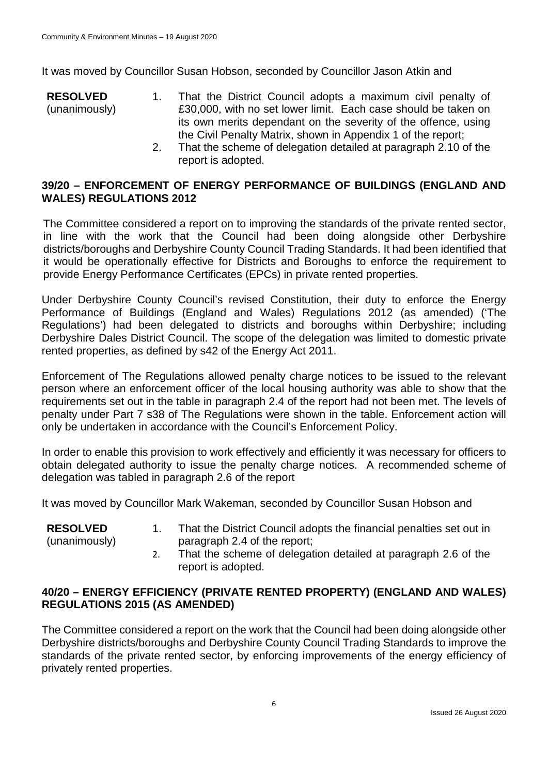It was moved by Councillor Susan Hobson, seconded by Councillor Jason Atkin and

- **RESOLVED** (unanimously) 1. That the District Council adopts a maximum civil penalty of £30,000, with no set lower limit. Each case should be taken on its own merits dependant on the severity of the offence, using the Civil Penalty Matrix, shown in Appendix 1 of the report;
	- 2. That the scheme of delegation detailed at paragraph 2.10 of the report is adopted.

### **39/20 – ENFORCEMENT OF ENERGY PERFORMANCE OF BUILDINGS (ENGLAND AND WALES) REGULATIONS 2012**

The Committee considered a report on to improving the standards of the private rented sector, in line with the work that the Council had been doing alongside other Derbyshire districts/boroughs and Derbyshire County Council Trading Standards. It had been identified that it would be operationally effective for Districts and Boroughs to enforce the requirement to provide Energy Performance Certificates (EPCs) in private rented properties.

Under Derbyshire County Council's revised Constitution, their duty to enforce the Energy Performance of Buildings (England and Wales) Regulations 2012 (as amended) ('The Regulations') had been delegated to districts and boroughs within Derbyshire; including Derbyshire Dales District Council. The scope of the delegation was limited to domestic private rented properties, as defined by s42 of the Energy Act 2011.

Enforcement of The Regulations allowed penalty charge notices to be issued to the relevant person where an enforcement officer of the local housing authority was able to show that the requirements set out in the table in paragraph 2.4 of the report had not been met. The levels of penalty under Part 7 s38 of The Regulations were shown in the table. Enforcement action will only be undertaken in accordance with the Council's Enforcement Policy.

In order to enable this provision to work effectively and efficiently it was necessary for officers to obtain delegated authority to issue the penalty charge notices. A recommended scheme of delegation was tabled in paragraph 2.6 of the report

It was moved by Councillor Mark Wakeman, seconded by Councillor Susan Hobson and

| <b>RESOLVED</b> | That the District Council adopts the financial penalties set out in |
|-----------------|---------------------------------------------------------------------|
| (unanimously)   | paragraph 2.4 of the report;                                        |
|                 | That the scheme of delegation detailed at paragraph 2.6 of the      |

2. That the scheme of delegation detailed at paragraph 2.6 of the report is adopted.

### **40/20 – ENERGY EFFICIENCY (PRIVATE RENTED PROPERTY) (ENGLAND AND WALES) REGULATIONS 2015 (AS AMENDED)**

The Committee considered a report on the work that the Council had been doing alongside other Derbyshire districts/boroughs and Derbyshire County Council Trading Standards to improve the standards of the private rented sector, by enforcing improvements of the energy efficiency of privately rented properties.